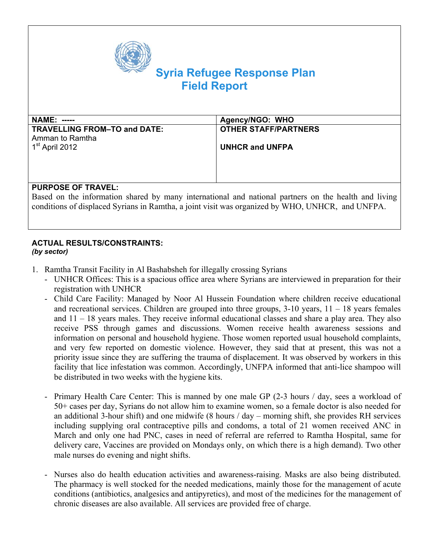

# **Syria Refugee Response Plan Field Report**

| <b>NAME: -----</b>           | Agency/NGO: WHO             |
|------------------------------|-----------------------------|
| TRAVELLING FROM-TO and DATE: | <b>OTHER STAFF/PARTNERS</b> |
| Amman to Ramtha              |                             |
| 1 <sup>st</sup> April 2012   | <b>UNHCR and UNFPA</b>      |
|                              |                             |
|                              |                             |
|                              |                             |
|                              |                             |

## **PURPOSE OF TRAVEL:**

Based on the information shared by many international and national partners on the health and living conditions of displaced Syrians in Ramtha, a joint visit was organized by WHO, UNHCR, and UNFPA.

#### **ACTUAL RESULTS/CONSTRAINTS:**  *(by sector)*

- 1. Ramtha Transit Facility in Al Bashabsheh for illegally crossing Syrians
	- UNHCR Offices: This is a spacious office area where Syrians are interviewed in preparation for their registration with UNHCR
	- Child Care Facility: Managed by Noor Al Hussein Foundation where children receive educational and recreational services. Children are grouped into three groups, 3-10 years, 11 – 18 years females and 11 – 18 years males. They receive informal educational classes and share a play area. They also receive PSS through games and discussions. Women receive health awareness sessions and information on personal and household hygiene. Those women reported usual household complaints, and very few reported on domestic violence. However, they said that at present, this was not a priority issue since they are suffering the trauma of displacement. It was observed by workers in this facility that lice infestation was common. Accordingly, UNFPA informed that anti-lice shampoo will be distributed in two weeks with the hygiene kits.
	- Primary Health Care Center: This is manned by one male GP (2-3 hours / day, sees a workload of 50+ cases per day, Syrians do not allow him to examine women, so a female doctor is also needed for an additional 3-hour shift) and one midwife (8 hours / day – morning shift, she provides RH services including supplying oral contraceptive pills and condoms, a total of 21 women received ANC in March and only one had PNC, cases in need of referral are referred to Ramtha Hospital, same for delivery care, Vaccines are provided on Mondays only, on which there is a high demand). Two other male nurses do evening and night shifts.
	- Nurses also do health education activities and awareness-raising. Masks are also being distributed. The pharmacy is well stocked for the needed medications, mainly those for the management of acute conditions (antibiotics, analgesics and antipyretics), and most of the medicines for the management of chronic diseases are also available. All services are provided free of charge.